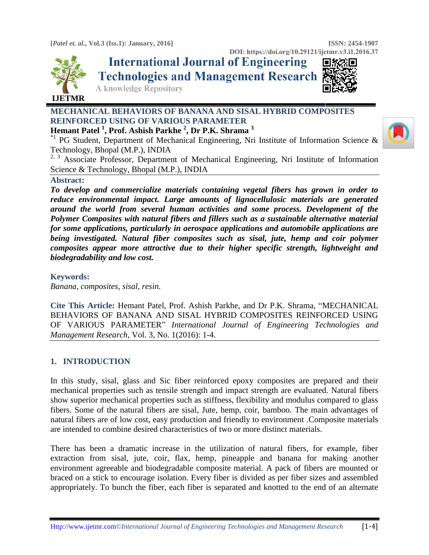**[***Patel et. al.,* **Vol.3 (Iss.1): January, 2016] ISSN: 2454-1907** 



**DOI: https://doi.org/10.29121/ijetmr.v3.i1.2016.37**<br>International Journal of Engineering **回答 Technologies and Management Research** 



**A knowledge Repository** 

# **MECHANICAL BEHAVIORS OF BANANA AND SISAL HYBRID COMPOSITES REINFORCED USING OF VARIOUS PARAMETER**

**Hemant Patel <sup>1</sup> , Prof. Ashish Parkhe <sup>2</sup> , Dr P.K. Shrama <sup>3</sup>**

<sup>\*1</sup> PG Student, Department of Mechanical Engineering, Nri Institute of Information Science  $\&$ Technology, Bhopal (M.P.), INDIA

<sup>2, 3</sup> Associate Professor, Department of Mechanical Engineering, Nri Institute of Information Science & Technology, Bhopal (M.P.), INDIA

## **Abstract:**

*To develop and commercialize materials containing vegetal fibers has grown in order to reduce environmental impact. Large amounts of lignocellulosic materials are generated around the world from several human activities and some process. Development of the Polymer Composites with natural fibers and fillers such as a sustainable alternative material for some applications, particularly in aerospace applications and automobile applications are being investigated. Natural fiber composites such as sisal, jute, hemp and coir polymer composites appear more attractive due to their higher specific strength, lightweight and biodegradability and low cost.*

**Keywords:** 

*Banana, composites, sisal, resin.*

**Cite This Article:** Hemant Patel, Prof. Ashish Parkhe, and Dr P.K. Shrama, "MECHANICAL BEHAVIORS OF BANANA AND SISAL HYBRID COMPOSITES REINFORCED USING OF VARIOUS PARAMETER" *International Journal of Engineering Technologies and Management Research,* Vol. 3, No. 1(2016): 1-4.

## **1. INTRODUCTION**

In this study, sisal, glass and Sic fiber reinforced epoxy composites are prepared and their mechanical properties such as tensile strength and impact strength are evaluated. Natural fibers show superior mechanical properties such as stiffness, flexibility and modulus compared to glass fibers. Some of the natural fibers are sisal, Jute, hemp, coir, bamboo. The main advantages of natural fibers are of low cost, easy production and friendly to environment .Composite materials are intended to combine desired characteristics of two or more distinct materials.

There has been a dramatic increase in the utilization of natural fibers, for example, fiber extraction from sisal, jute, coir, flax, hemp, pineapple and banana for making another environment agreeable and biodegradable composite material. A pack of fibers are mounted or braced on a stick to encourage isolation. Every fiber is divided as per fiber sizes and assembled appropriately. To bunch the fiber, each fiber is separated and knotted to the end of an alternate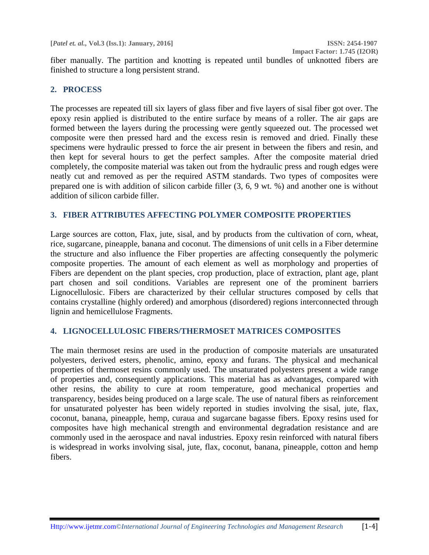fiber manually. The partition and knotting is repeated until bundles of unknotted fibers are finished to structure a long persistent strand.

## **2. PROCESS**

The processes are repeated till six layers of glass fiber and five layers of sisal fiber got over. The epoxy resin applied is distributed to the entire surface by means of a roller. The air gaps are formed between the layers during the processing were gently squeezed out. The processed wet composite were then pressed hard and the excess resin is removed and dried. Finally these specimens were hydraulic pressed to force the air present in between the fibers and resin, and then kept for several hours to get the perfect samples. After the composite material dried completely, the composite material was taken out from the hydraulic press and rough edges were neatly cut and removed as per the required ASTM standards. Two types of composites were prepared one is with addition of silicon carbide filler (3, 6, 9 wt. %) and another one is without addition of silicon carbide filler.

### **3. FIBER ATTRIBUTES AFFECTING POLYMER COMPOSITE PROPERTIES**

Large sources are cotton, Flax, jute, sisal, and by products from the cultivation of corn, wheat, rice, sugarcane, pineapple, banana and coconut. The dimensions of unit cells in a Fiber determine the structure and also influence the Fiber properties are affecting consequently the polymeric composite properties. The amount of each element as well as morphology and properties of Fibers are dependent on the plant species, crop production, place of extraction, plant age, plant part chosen and soil conditions. Variables are represent one of the prominent barriers Lignocellulosic. Fibers are characterized by their cellular structures composed by cells that contains crystalline (highly ordered) and amorphous (disordered) regions interconnected through lignin and hemicellulose Fragments.

## **4. LIGNOCELLULOSIC FIBERS/THERMOSET MATRICES COMPOSITES**

The main thermoset resins are used in the production of composite materials are unsaturated polyesters, derived esters, phenolic, amino, epoxy and furans. The physical and mechanical properties of thermoset resins commonly used. The unsaturated polyesters present a wide range of properties and, consequently applications. This material has as advantages, compared with other resins, the ability to cure at room temperature, good mechanical properties and transparency, besides being produced on a large scale. The use of natural fibers as reinforcement for unsaturated polyester has been widely reported in studies involving the sisal, jute, flax, coconut, banana, pineapple, hemp, curaua and sugarcane bagasse fibers. Epoxy resins used for composites have high mechanical strength and environmental degradation resistance and are commonly used in the aerospace and naval industries. Epoxy resin reinforced with natural fibers is widespread in works involving sisal, jute, flax, coconut, banana, pineapple, cotton and hemp fibers.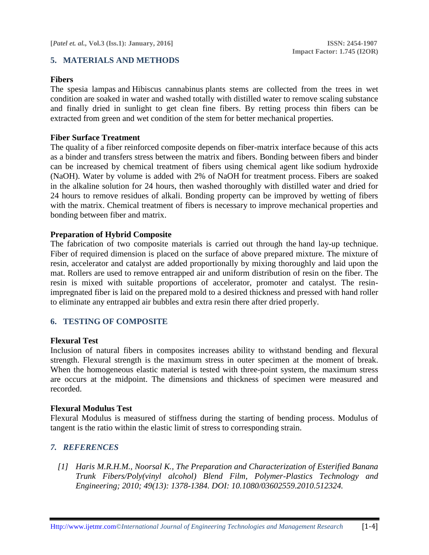### **5. MATERIALS AND METHODS**

### **Fibers**

The spesia lampas and Hibiscus cannabinus plants stems are collected from the trees in wet condition are soaked in water and washed totally with distilled water to remove scaling substance and finally dried in sunlight to get clean fine fibers. By retting process thin fibers can be extracted from green and wet condition of the stem for better mechanical properties.

#### **Fiber Surface Treatment**

The quality of a fiber reinforced composite depends on fiber-matrix interface because of this acts as a binder and transfers stress between the matrix and fibers. Bonding between fibers and binder can be increased by chemical treatment of fibers using chemical agent like sodium hydroxide (NaOH). Water by volume is added with 2% of NaOH for treatment process. Fibers are soaked in the alkaline solution for 24 hours, then washed thoroughly with distilled water and dried for 24 hours to remove residues of alkali. Bonding property can be improved by wetting of fibers with the matrix. Chemical treatment of fibers is necessary to improve mechanical properties and bonding between fiber and matrix.

#### **Preparation of Hybrid Composite**

The fabrication of two composite materials is carried out through the hand lay-up technique. Fiber of required dimension is placed on the surface of above prepared mixture. The mixture of resin, accelerator and catalyst are added proportionally by mixing thoroughly and laid upon the mat. Rollers are used to remove entrapped air and uniform distribution of resin on the fiber. The resin is mixed with suitable proportions of accelerator, promoter and catalyst. The resinimpregnated fiber is laid on the prepared mold to a desired thickness and pressed with hand roller to eliminate any entrapped air bubbles and extra resin there after dried properly.

### **6. TESTING OF COMPOSITE**

### **Flexural Test**

Inclusion of natural fibers in composites increases ability to withstand bending and flexural strength. Flexural strength is the maximum stress in outer specimen at the moment of break. When the homogeneous elastic material is tested with three-point system, the maximum stress are occurs at the midpoint. The dimensions and thickness of specimen were measured and recorded.

#### **Flexural Modulus Test**

Flexural Modulus is measured of stiffness during the starting of bending process. Modulus of tangent is the ratio within the elastic limit of stress to corresponding strain.

### *7. REFERENCES*

*[1] Haris M.R.H.M., Noorsal K., The Preparation and Characterization of Esterified Banana Trunk Fibers/Poly(vinyl alcohol) Blend Film, Polymer-Plastics Technology and Engineering; 2010; 49(13): 1378-1384. DOI: 10.1080/03602559.2010.512324.*